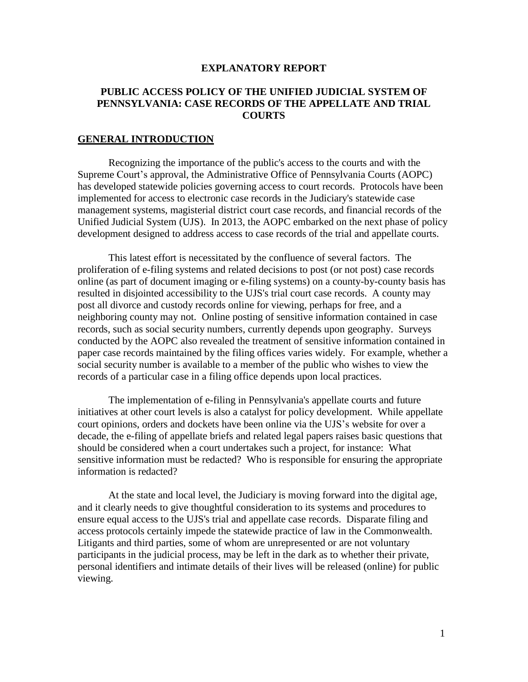## **EXPLANATORY REPORT**

# **PUBLIC ACCESS POLICY OF THE UNIFIED JUDICIAL SYSTEM OF PENNSYLVANIA: CASE RECORDS OF THE APPELLATE AND TRIAL COURTS**

## **GENERAL INTRODUCTION**

Recognizing the importance of the public's access to the courts and with the Supreme Court's approval, the Administrative Office of Pennsylvania Courts (AOPC) has developed statewide policies governing access to court records. Protocols have been implemented for access to electronic case records in the Judiciary's statewide case management systems, magisterial district court case records, and financial records of the Unified Judicial System (UJS). In 2013, the AOPC embarked on the next phase of policy development designed to address access to case records of the trial and appellate courts.

This latest effort is necessitated by the confluence of several factors. The proliferation of e-filing systems and related decisions to post (or not post) case records online (as part of document imaging or e-filing systems) on a county-by-county basis has resulted in disjointed accessibility to the UJS's trial court case records. A county may post all divorce and custody records online for viewing, perhaps for free, and a neighboring county may not. Online posting of sensitive information contained in case records, such as social security numbers, currently depends upon geography. Surveys conducted by the AOPC also revealed the treatment of sensitive information contained in paper case records maintained by the filing offices varies widely. For example, whether a social security number is available to a member of the public who wishes to view the records of a particular case in a filing office depends upon local practices.

The implementation of e-filing in Pennsylvania's appellate courts and future initiatives at other court levels is also a catalyst for policy development. While appellate court opinions, orders and dockets have been online via the UJS's website for over a decade, the e-filing of appellate briefs and related legal papers raises basic questions that should be considered when a court undertakes such a project, for instance: What sensitive information must be redacted? Who is responsible for ensuring the appropriate information is redacted?

At the state and local level, the Judiciary is moving forward into the digital age, and it clearly needs to give thoughtful consideration to its systems and procedures to ensure equal access to the UJS's trial and appellate case records. Disparate filing and access protocols certainly impede the statewide practice of law in the Commonwealth. Litigants and third parties, some of whom are unrepresented or are not voluntary participants in the judicial process, may be left in the dark as to whether their private, personal identifiers and intimate details of their lives will be released (online) for public viewing.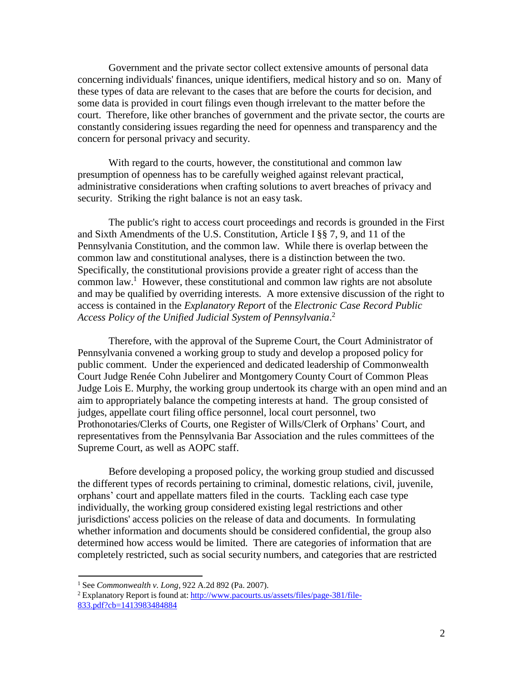Government and the private sector collect extensive amounts of personal data concerning individuals' finances, unique identifiers, medical history and so on. Many of these types of data are relevant to the cases that are before the courts for decision, and some data is provided in court filings even though irrelevant to the matter before the court. Therefore, like other branches of government and the private sector, the courts are constantly considering issues regarding the need for openness and transparency and the concern for personal privacy and security.

With regard to the courts, however, the constitutional and common law presumption of openness has to be carefully weighed against relevant practical, administrative considerations when crafting solutions to avert breaches of privacy and security. Striking the right balance is not an easy task.

The public's right to access court proceedings and records is grounded in the First and Sixth Amendments of the U.S. Constitution, Article I §§ 7, 9, and 11 of the Pennsylvania Constitution, and the common law. While there is overlap between the common law and constitutional analyses, there is a distinction between the two. Specifically, the constitutional provisions provide a greater right of access than the common law.<sup>1</sup> However, these constitutional and common law rights are not absolute and may be qualified by overriding interests. A more extensive discussion of the right to access is contained in the *Explanatory Report* of the *Electronic Case Record Public Access Policy of the Unified Judicial System of Pennsylvania*. 2

Therefore, with the approval of the Supreme Court, the Court Administrator of Pennsylvania convened a working group to study and develop a proposed policy for public comment. Under the experienced and dedicated leadership of Commonwealth Court Judge Renée Cohn Jubelirer and Montgomery County Court of Common Pleas Judge Lois E. Murphy, the working group undertook its charge with an open mind and an aim to appropriately balance the competing interests at hand. The group consisted of judges, appellate court filing office personnel, local court personnel, two Prothonotaries/Clerks of Courts, one Register of Wills/Clerk of Orphans' Court, and representatives from the Pennsylvania Bar Association and the rules committees of the Supreme Court, as well as AOPC staff.

Before developing a proposed policy, the working group studied and discussed the different types of records pertaining to criminal, domestic relations, civil, juvenile, orphans' court and appellate matters filed in the courts. Tackling each case type individually, the working group considered existing legal restrictions and other jurisdictions' access policies on the release of data and documents. In formulating whether information and documents should be considered confidential, the group also determined how access would be limited. There are categories of information that are completely restricted, such as social security numbers, and categories that are restricted

<sup>1</sup> See *Commonwealth v. Long*, 922 A.2d 892 (Pa. 2007).

 $2$  Explanatory Report is found at: [http://www.pacourts.us/assets/files/page-381/file-](http://www.pacourts.us/assets/files/page-381/file-833.pdf?cb=1413983484884)[833.pdf?cb=1413983484884](http://www.pacourts.us/assets/files/page-381/file-833.pdf?cb=1413983484884)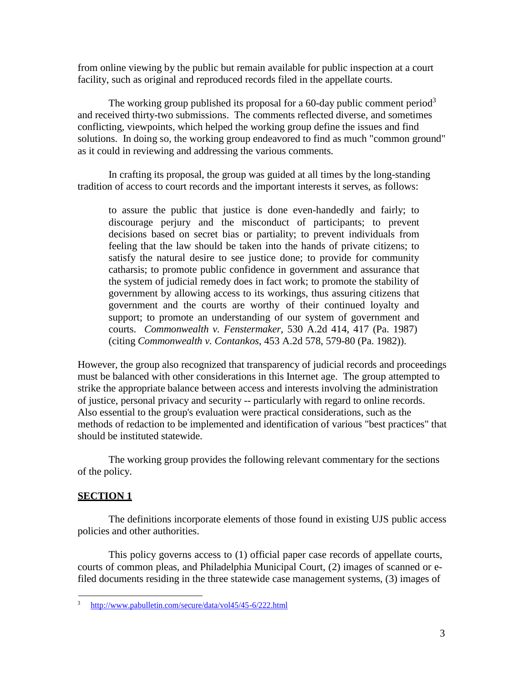from online viewing by the public but remain available for public inspection at a court facility, such as original and reproduced records filed in the appellate courts.

The working group published its proposal for a 60-day public comment period<sup>3</sup> and received thirty-two submissions. The comments reflected diverse, and sometimes conflicting, viewpoints, which helped the working group define the issues and find solutions. In doing so, the working group endeavored to find as much "common ground" as it could in reviewing and addressing the various comments.

In crafting its proposal, the group was guided at all times by the long-standing tradition of access to court records and the important interests it serves, as follows:

to assure the public that justice is done even-handedly and fairly; to discourage perjury and the misconduct of participants; to prevent decisions based on secret bias or partiality; to prevent individuals from feeling that the law should be taken into the hands of private citizens; to satisfy the natural desire to see justice done; to provide for community catharsis; to promote public confidence in government and assurance that the system of judicial remedy does in fact work; to promote the stability of government by allowing access to its workings, thus assuring citizens that government and the courts are worthy of their continued loyalty and support; to promote an understanding of our system of government and courts. *Commonwealth v. Fenstermaker*, 530 A.2d 414, 417 (Pa. 1987) (citing *Commonwealth v. Contankos*, 453 A.2d 578, 579-80 (Pa. 1982)).

However, the group also recognized that transparency of judicial records and proceedings must be balanced with other considerations in this Internet age. The group attempted to strike the appropriate balance between access and interests involving the administration of justice, personal privacy and security -- particularly with regard to online records. Also essential to the group's evaluation were practical considerations, such as the methods of redaction to be implemented and identification of various "best practices" that should be instituted statewide.

The working group provides the following relevant commentary for the sections of the policy.

# **SECTION 1**

The definitions incorporate elements of those found in existing UJS public access policies and other authorities.

This policy governs access to (1) official paper case records of appellate courts, courts of common pleas, and Philadelphia Municipal Court, (2) images of scanned or efiled documents residing in the three statewide case management systems, (3) images of

<sup>3</sup> <http://www.pabulletin.com/secure/data/vol45/45-6/222.html>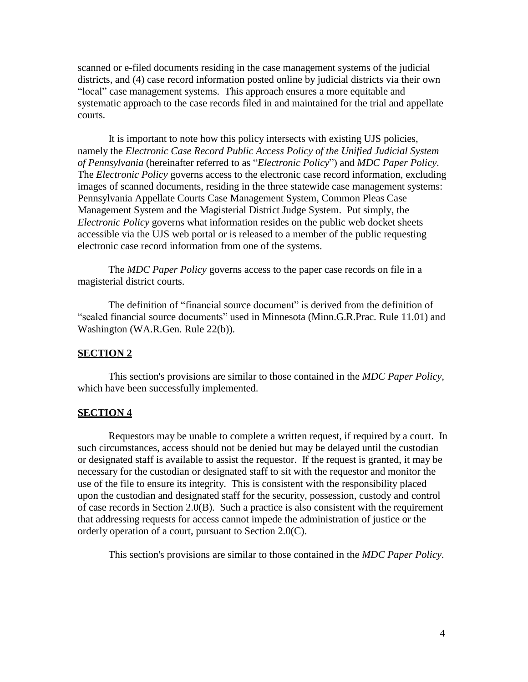scanned or e-filed documents residing in the case management systems of the judicial districts, and (4) case record information posted online by judicial districts via their own "local" case management systems. This approach ensures a more equitable and systematic approach to the case records filed in and maintained for the trial and appellate courts.

It is important to note how this policy intersects with existing UJS policies, namely the *Electronic Case Record Public Access Policy of the Unified Judicial System of Pennsylvania* (hereinafter referred to as "*Electronic Policy*") and *MDC Paper Policy*. The *Electronic Policy* governs access to the electronic case record information, excluding images of scanned documents, residing in the three statewide case management systems: Pennsylvania Appellate Courts Case Management System, Common Pleas Case Management System and the Magisterial District Judge System. Put simply, the *Electronic Policy* governs what information resides on the public web docket sheets accessible via the UJS web portal or is released to a member of the public requesting electronic case record information from one of the systems.

The *MDC Paper Policy* governs access to the paper case records on file in a magisterial district courts.

The definition of "financial source document" is derived from the definition of "sealed financial source documents" used in Minnesota (Minn.G.R.Prac. Rule 11.01) and Washington (WA.R.Gen. Rule 22(b)).

### **SECTION 2**

This section's provisions are similar to those contained in the *MDC Paper Policy,* which have been successfully implemented.

## **SECTION 4**

Requestors may be unable to complete a written request, if required by a court. In such circumstances, access should not be denied but may be delayed until the custodian or designated staff is available to assist the requestor. If the request is granted, it may be necessary for the custodian or designated staff to sit with the requestor and monitor the use of the file to ensure its integrity. This is consistent with the responsibility placed upon the custodian and designated staff for the security, possession, custody and control of case records in Section 2.0(B). Such a practice is also consistent with the requirement that addressing requests for access cannot impede the administration of justice or the orderly operation of a court, pursuant to Section 2.0(C).

This section's provisions are similar to those contained in the *MDC Paper Policy*.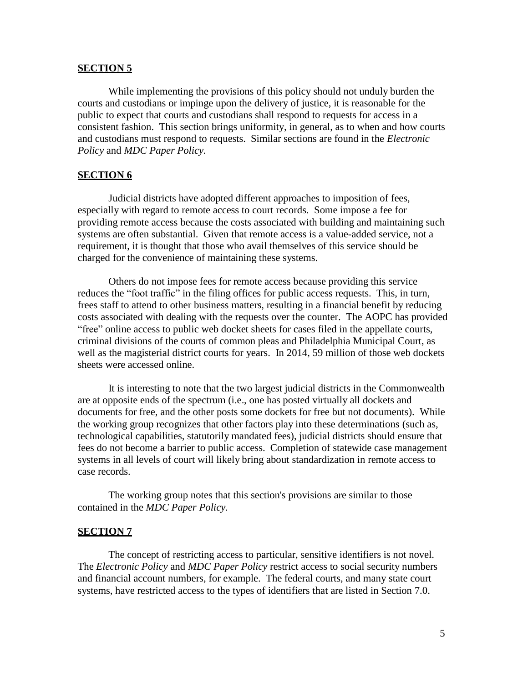## **SECTION 5**

While implementing the provisions of this policy should not unduly burden the courts and custodians or impinge upon the delivery of justice, it is reasonable for the public to expect that courts and custodians shall respond to requests for access in a consistent fashion. This section brings uniformity, in general, as to when and how courts and custodians must respond to requests. Similar sections are found in the *Electronic Policy* and *MDC Paper Policy.*

## **SECTION 6**

Judicial districts have adopted different approaches to imposition of fees, especially with regard to remote access to court records. Some impose a fee for providing remote access because the costs associated with building and maintaining such systems are often substantial. Given that remote access is a value-added service, not a requirement, it is thought that those who avail themselves of this service should be charged for the convenience of maintaining these systems.

Others do not impose fees for remote access because providing this service reduces the "foot traffic" in the filing offices for public access requests. This, in turn, frees staff to attend to other business matters, resulting in a financial benefit by reducing costs associated with dealing with the requests over the counter. The AOPC has provided "free" online access to public web docket sheets for cases filed in the appellate courts, criminal divisions of the courts of common pleas and Philadelphia Municipal Court, as well as the magisterial district courts for years. In 2014, 59 million of those web dockets sheets were accessed online.

It is interesting to note that the two largest judicial districts in the Commonwealth are at opposite ends of the spectrum (i.e., one has posted virtually all dockets and documents for free, and the other posts some dockets for free but not documents). While the working group recognizes that other factors play into these determinations (such as, technological capabilities, statutorily mandated fees), judicial districts should ensure that fees do not become a barrier to public access. Completion of statewide case management systems in all levels of court will likely bring about standardization in remote access to case records.

The working group notes that this section's provisions are similar to those contained in the *MDC Paper Policy.*

#### **SECTION 7**

The concept of restricting access to particular, sensitive identifiers is not novel. The *Electronic Policy* and *MDC Paper Policy* restrict access to social security numbers and financial account numbers, for example. The federal courts, and many state court systems, have restricted access to the types of identifiers that are listed in Section 7.0.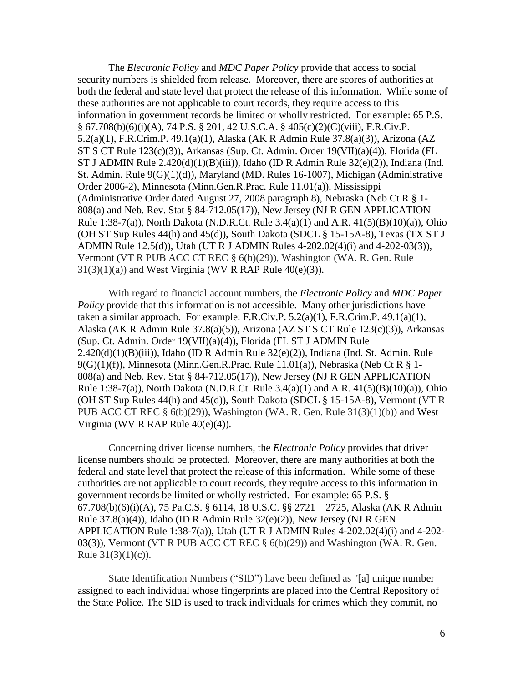The *Electronic Policy* and *MDC Paper Policy* provide that access to social security numbers is shielded from release. Moreover, there are scores of authorities at both the federal and state level that protect the release of this information. While some of these authorities are not applicable to court records, they require access to this information in government records be limited or wholly restricted. For example: 65 P.S. § 67.708(b)(6)(i)(A), 74 P.S. § 201, 42 U.S.C.A. § 405(c)(2)(C)(viii), F.R.Civ.P. 5.2(a)(1), F.R.Crim.P. 49.1(a)(1), Alaska (AK R Admin Rule 37.8(a)(3)), Arizona (AZ ST S CT Rule 123(c)(3)), Arkansas (Sup. Ct. Admin. Order 19(VII)(a)(4)), Florida (FL ST J ADMIN Rule  $2.420(d)(1)(B)(iii)$ ), Idaho (ID R Admin Rule  $32(e)(2)$ ), Indiana (Ind. St. Admin. Rule 9(G)(1)(d)), Maryland (MD. Rules 16-1007), Michigan (Administrative Order 2006-2), Minnesota (Minn.Gen.R.Prac. Rule 11.01(a)), Mississippi (Administrative Order dated August 27, 2008 paragraph 8), Nebraska (Neb Ct R § 1- 808(a) and Neb. Rev. Stat § 84-712.05(17)), New Jersey (NJ R GEN APPLICATION Rule 1:38-7(a)), North Dakota (N.D.R.Ct. Rule 3.4(a)(1) and A.R. 41(5)(B)(10)(a)), Ohio (OH ST Sup Rules 44(h) and 45(d)), South Dakota (SDCL § 15-15A-8), Texas (TX ST J ADMIN Rule 12.5(d)), Utah (UT R J ADMIN Rules 4-202.02(4)(i) and 4-202-03(3)), Vermont (VT R PUB ACC CT REC § 6(b)(29)), Washington (WA. R. Gen. Rule  $31(3)(1)(a)$  and West Virginia (WV R RAP Rule 40(e)(3)).

With regard to financial account numbers, the *Electronic Policy* and *MDC Paper Policy* provide that this information is not accessible. Many other jurisdictions have taken a similar approach. For example: F.R.Civ.P.  $5.2(a)(1)$ , F.R.Crim.P.  $49.1(a)(1)$ , Alaska (AK R Admin Rule 37.8(a)(5)), Arizona (AZ ST S CT Rule 123(c)(3)), Arkansas (Sup. Ct. Admin. Order 19(VII)(a)(4)), Florida (FL ST J ADMIN Rule  $2.420(d)(1)(B)(iii)$ ), Idaho (ID R Admin Rule  $32(e)(2)$ ), Indiana (Ind. St. Admin. Rule  $9(G)(1)(f)$ ), Minnesota (Minn.Gen.R.Prac. Rule 11.01(a)), Nebraska (Neb Ct R § 1-808(a) and Neb. Rev. Stat § 84-712.05(17)), New Jersey (NJ R GEN APPLICATION Rule 1:38-7(a)), North Dakota (N.D.R.Ct. Rule 3.4(a)(1) and A.R. 41(5)(B)(10)(a)), Ohio (OH ST Sup Rules 44(h) and 45(d)), South Dakota (SDCL § 15-15A-8), Vermont (VT R PUB ACC CT REC  $\S$  6(b)(29)), Washington (WA. R. Gen. Rule 31(3)(1)(b)) and West Virginia (WV R RAP Rule 40(e)(4)).

Concerning driver license numbers, the *Electronic Policy* provides that driver license numbers should be protected. Moreover, there are many authorities at both the federal and state level that protect the release of this information. While some of these authorities are not applicable to court records, they require access to this information in government records be limited or wholly restricted. For example: 65 P.S. § 67.708(b)(6)(i)(A), 75 Pa.C.S. § 6114, 18 U.S.C. §§ 2721 – 2725, Alaska (AK R Admin Rule 37.8(a)(4)), Idaho (ID R Admin Rule 32(e)(2)), New Jersey (NJ R GEN APPLICATION Rule 1:38-7(a)), Utah (UT R J ADMIN Rules  $4-202.02(4)$ (i) and  $4-202$ -03(3)), Vermont (VT R PUB ACC CT REC § 6(b)(29)) and Washington (WA. R. Gen. Rule  $31(3)(1)(c)$ ).

State Identification Numbers ("SID") have been defined as "[a] unique number assigned to each individual whose fingerprints are placed into the Central Repository of the State Police. The SID is used to track individuals for crimes which they commit, no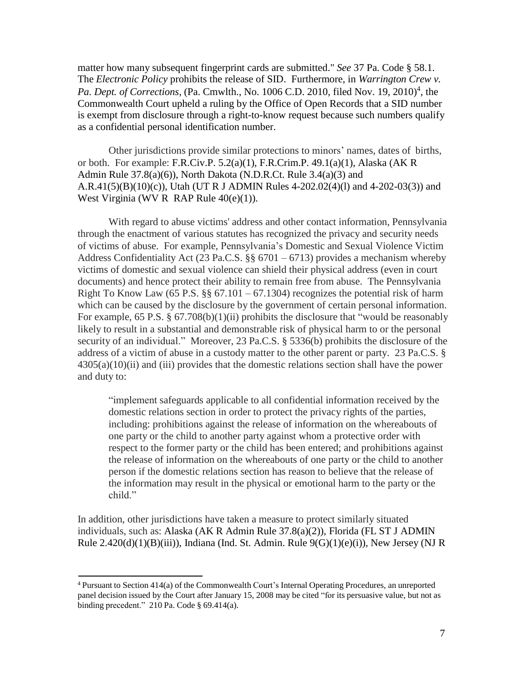matter how many subsequent fingerprint cards are submitted." *See* 37 Pa. Code § 58.1. The *Electronic Policy* prohibits the release of SID. Furthermore, in *Warrington Crew v.* Pa. Dept. of Corrections, (Pa. Cmwlth., No. 1006 C.D. 2010, filed Nov. 19, 2010)<sup>4</sup>, the Commonwealth Court upheld a ruling by the Office of Open Records that a SID number is exempt from disclosure through a right-to-know request because such numbers qualify as a confidential personal identification number.

Other jurisdictions provide similar protections to minors' names, dates of births, or both. For example: F.R.Civ.P. 5.2(a)(1), F.R.Crim.P. 49.1(a)(1), Alaska (AK R Admin Rule 37.8(a)(6)), North Dakota (N.D.R.Ct. Rule 3.4(a)(3) and A.R.41(5)(B)(10)(c)), Utah (UT R J ADMIN Rules 4-202.02(4)(1) and 4-202-03(3)) and West Virginia (WV R RAP Rule 40(e)(1)).

With regard to abuse victims' address and other contact information, Pennsylvania through the enactment of various statutes has recognized the privacy and security needs of victims of abuse. For example, Pennsylvania's Domestic and Sexual Violence Victim Address Confidentiality Act (23 Pa.C.S. §§ 6701 – 6713) provides a mechanism whereby victims of domestic and sexual violence can shield their physical address (even in court documents) and hence protect their ability to remain free from abuse. The Pennsylvania Right To Know Law (65 P.S.  $\S$ § 67.101 – 67.1304) recognizes the potential risk of harm which can be caused by the disclosure by the government of certain personal information. For example, 65 P.S. § 67.708(b)(1)(ii) prohibits the disclosure that "would be reasonably likely to result in a substantial and demonstrable risk of physical harm to or the personal security of an individual." Moreover, 23 Pa.C.S. § 5336(b) prohibits the disclosure of the address of a victim of abuse in a custody matter to the other parent or party. 23 Pa.C.S. §  $4305(a)(10)(ii)$  and (iii) provides that the domestic relations section shall have the power and duty to:

"implement safeguards applicable to all confidential information received by the domestic relations section in order to protect the privacy rights of the parties, including: prohibitions against the release of information on the whereabouts of one party or the child to another party against whom a protective order with respect to the former party or the child has been entered; and prohibitions against the release of information on the whereabouts of one party or the child to another person if the domestic relations section has reason to believe that the release of the information may result in the physical or emotional harm to the party or the child."

In addition, other jurisdictions have taken a measure to protect similarly situated individuals, such as: Alaska (AK R Admin Rule 37.8(a)(2)), Florida (FL ST J ADMIN Rule  $2.420(d)(1)(B)(iii)$ , Indiana (Ind. St. Admin. Rule  $9(G)(1)(e)(i)$ ), New Jersey (NJ R

<sup>4</sup> Pursuant to Section 414(a) of the Commonwealth Court's Internal Operating Procedures, an unreported panel decision issued by the Court after January 15, 2008 may be cited "for its persuasive value, but not as binding precedent."  $210$  Pa. Code § 69.414(a).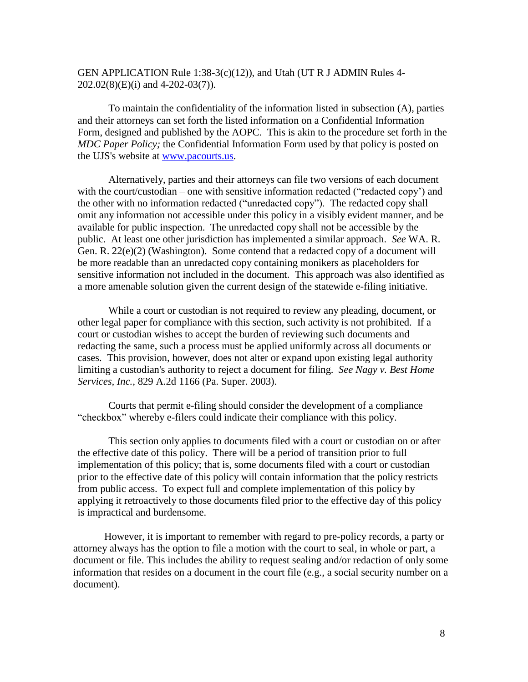# GEN APPLICATION Rule 1:38-3(c)(12)), and Utah (UT R J ADMIN Rules 4- 202.02(8)(E)(i) and 4-202-03(7)).

To maintain the confidentiality of the information listed in subsection (A), parties and their attorneys can set forth the listed information on a Confidential Information Form, designed and published by the AOPC. This is akin to the procedure set forth in the *MDC Paper Policy;* the Confidential Information Form used by that policy is posted on the UJS's website at [www.pacourts.us.](http://www.pacourts.us/)

Alternatively, parties and their attorneys can file two versions of each document with the court/custodian – one with sensitive information redacted ("redacted copy") and the other with no information redacted ("unredacted copy"). The redacted copy shall omit any information not accessible under this policy in a visibly evident manner, and be available for public inspection. The unredacted copy shall not be accessible by the public. At least one other jurisdiction has implemented a similar approach. *See* WA. R. Gen. R. 22(e)(2) (Washington). Some contend that a redacted copy of a document will be more readable than an unredacted copy containing monikers as placeholders for sensitive information not included in the document. This approach was also identified as a more amenable solution given the current design of the statewide e-filing initiative.

While a court or custodian is not required to review any pleading, document, or other legal paper for compliance with this section, such activity is not prohibited. If a court or custodian wishes to accept the burden of reviewing such documents and redacting the same, such a process must be applied uniformly across all documents or cases. This provision, however, does not alter or expand upon existing legal authority limiting a custodian's authority to reject a document for filing. *See Nagy v. Best Home Services, Inc.,* 829 A.2d 1166 (Pa. Super. 2003).

Courts that permit e-filing should consider the development of a compliance "checkbox" whereby e-filers could indicate their compliance with this policy.

This section only applies to documents filed with a court or custodian on or after the effective date of this policy. There will be a period of transition prior to full implementation of this policy; that is, some documents filed with a court or custodian prior to the effective date of this policy will contain information that the policy restricts from public access. To expect full and complete implementation of this policy by applying it retroactively to those documents filed prior to the effective day of this policy is impractical and burdensome.

However, it is important to remember with regard to pre-policy records, a party or attorney always has the option to file a motion with the court to seal, in whole or part, a document or file. This includes the ability to request sealing and/or redaction of only some information that resides on a document in the court file (e.g., a social security number on a document).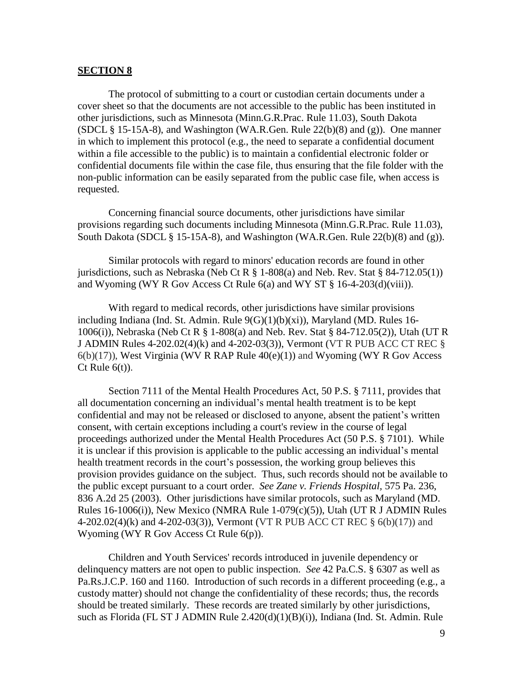### **SECTION 8**

The protocol of submitting to a court or custodian certain documents under a cover sheet so that the documents are not accessible to the public has been instituted in other jurisdictions, such as Minnesota (Minn.G.R.Prac. Rule 11.03), South Dakota (SDCL  $\S$  15-15A-8), and Washington (WA.R.Gen. Rule 22(b)(8) and (g)). One manner in which to implement this protocol (e.g., the need to separate a confidential document within a file accessible to the public) is to maintain a confidential electronic folder or confidential documents file within the case file, thus ensuring that the file folder with the non-public information can be easily separated from the public case file, when access is requested.

Concerning financial source documents, other jurisdictions have similar provisions regarding such documents including Minnesota (Minn.G.R.Prac. Rule 11.03), South Dakota (SDCL § 15-15A-8), and Washington (WA.R.Gen. Rule 22(b)(8) and (g)).

Similar protocols with regard to minors' education records are found in other jurisdictions, such as Nebraska (Neb Ct R  $\S$  1-808(a) and Neb. Rev. Stat  $\S$  84-712.05(1)) and Wyoming (WY R Gov Access Ct Rule  $6(a)$  and WY ST  $\S$  16-4-203(d)(viii)).

With regard to medical records, other jurisdictions have similar provisions including Indiana (Ind. St. Admin. Rule 9(G)(1)(b)(xi)), Maryland (MD. Rules 16- 1006(i)), Nebraska (Neb Ct R § 1-808(a) and Neb. Rev. Stat § 84-712.05(2)), Utah (UT R J ADMIN Rules 4-202.02(4)(k) and 4-202-03(3)), Vermont (VT R PUB ACC CT REC §  $6(b)(17)$ ), West Virginia (WV R RAP Rule  $40(e)(1)$ ) and Wyoming (WY R Gov Access Ct Rule  $6(t)$ ).

Section 7111 of the Mental Health Procedures Act, 50 P.S. § 7111, provides that all documentation concerning an individual's mental health treatment is to be kept confidential and may not be released or disclosed to anyone, absent the patient's written consent, with certain exceptions including a court's review in the course of legal proceedings authorized under the Mental Health Procedures Act (50 P.S. § 7101). While it is unclear if this provision is applicable to the public accessing an individual's mental health treatment records in the court's possession, the working group believes this provision provides guidance on the subject. Thus, such records should not be available to the public except pursuant to a court order. *See Zane v. Friends Hospital,* 575 Pa. 236, 836 A.2d 25 (2003). Other jurisdictions have similar protocols, such as Maryland (MD. Rules 16-1006(i)), New Mexico (NMRA Rule 1-079(c)(5)), Utah (UT R J ADMIN Rules 4-202.02(4)(k) and 4-202-03(3)), Vermont (VT R PUB ACC CT REC § 6(b)(17)) and Wyoming (WY R Gov Access Ct Rule 6(p)).

Children and Youth Services' records introduced in juvenile dependency or delinquency matters are not open to public inspection. *See* 42 Pa.C.S. § 6307 as well as Pa.Rs.J.C.P. 160 and 1160. Introduction of such records in a different proceeding (e.g., a custody matter) should not change the confidentiality of these records; thus, the records should be treated similarly. These records are treated similarly by other jurisdictions, such as Florida (FL ST J ADMIN Rule 2.420(d)(1)(B)(i)), Indiana (Ind. St. Admin. Rule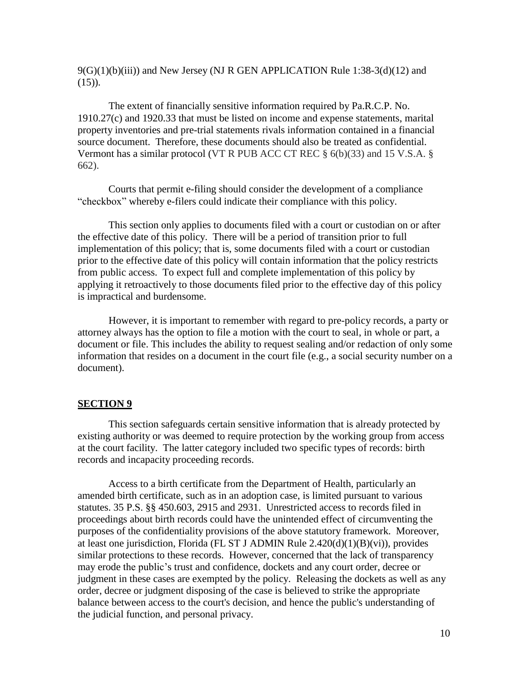$9(G)(1)(b)(iii)$  and New Jersey (NJ R GEN APPLICATION Rule 1:38-3(d)(12) and  $(15)$ ).

The extent of financially sensitive information required by Pa.R.C.P. No. 1910.27(c) and 1920.33 that must be listed on income and expense statements, marital property inventories and pre-trial statements rivals information contained in a financial source document. Therefore, these documents should also be treated as confidential. Vermont has a similar protocol (VT R PUB ACC CT REC  $\S$  6(b)(33) and 15 V.S.A.  $\S$ 662).

Courts that permit e-filing should consider the development of a compliance "checkbox" whereby e-filers could indicate their compliance with this policy.

This section only applies to documents filed with a court or custodian on or after the effective date of this policy. There will be a period of transition prior to full implementation of this policy; that is, some documents filed with a court or custodian prior to the effective date of this policy will contain information that the policy restricts from public access. To expect full and complete implementation of this policy by applying it retroactively to those documents filed prior to the effective day of this policy is impractical and burdensome.

However, it is important to remember with regard to pre-policy records, a party or attorney always has the option to file a motion with the court to seal, in whole or part, a document or file. This includes the ability to request sealing and/or redaction of only some information that resides on a document in the court file (e.g., a social security number on a document).

### **SECTION 9**

This section safeguards certain sensitive information that is already protected by existing authority or was deemed to require protection by the working group from access at the court facility. The latter category included two specific types of records: birth records and incapacity proceeding records.

Access to a birth certificate from the Department of Health, particularly an amended birth certificate, such as in an adoption case, is limited pursuant to various statutes. 35 P.S. §§ 450.603, 2915 and 2931. Unrestricted access to records filed in proceedings about birth records could have the unintended effect of circumventing the purposes of the confidentiality provisions of the above statutory framework. Moreover, at least one jurisdiction, Florida (FL ST J ADMIN Rule 2.420(d)(1)(B)(vi)), provides similar protections to these records. However, concerned that the lack of transparency may erode the public's trust and confidence, dockets and any court order, decree or judgment in these cases are exempted by the policy. Releasing the dockets as well as any order, decree or judgment disposing of the case is believed to strike the appropriate balance between access to the court's decision, and hence the public's understanding of the judicial function, and personal privacy.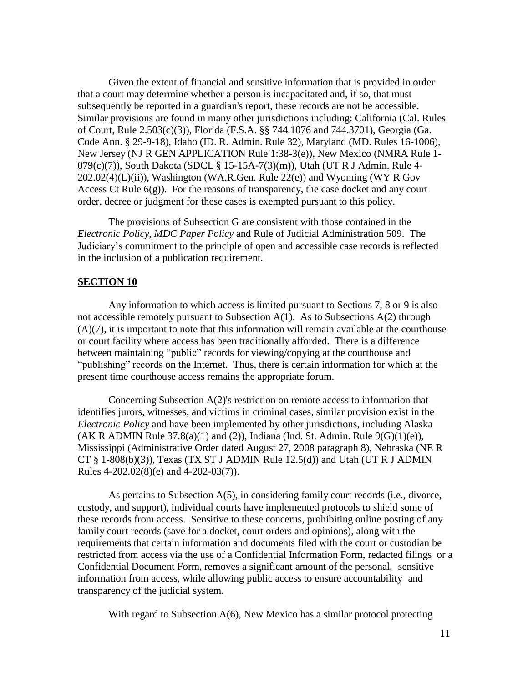Given the extent of financial and sensitive information that is provided in order that a court may determine whether a person is incapacitated and, if so, that must subsequently be reported in a guardian's report, these records are not be accessible. Similar provisions are found in many other jurisdictions including: California (Cal. Rules of Court, Rule 2.503(c)(3)), Florida (F.S.A. §§ 744.1076 and 744.3701), Georgia (Ga. Code Ann. § 29-9-18), Idaho (ID. R. Admin. Rule 32), Maryland (MD. Rules 16-1006), New Jersey (NJ R GEN APPLICATION Rule 1:38-3(e)), New Mexico (NMRA Rule 1- 079(c)(7)), South Dakota (SDCL § 15-15A-7(3)(m)), Utah (UT R J Admin. Rule 4- 202.02(4)(L)(ii)), Washington (WA.R.Gen. Rule 22(e)) and Wyoming (WY R Gov Access Ct Rule  $6(g)$ ). For the reasons of transparency, the case docket and any court order, decree or judgment for these cases is exempted pursuant to this policy.

The provisions of Subsection G are consistent with those contained in the *Electronic Policy*, *MDC Paper Policy* and Rule of Judicial Administration 509. The Judiciary's commitment to the principle of open and accessible case records is reflected in the inclusion of a publication requirement.

### **SECTION 10**

Any information to which access is limited pursuant to Sections 7, 8 or 9 is also not accessible remotely pursuant to Subsection  $A(1)$ . As to Subsections  $A(2)$  through  $(A)(7)$ , it is important to note that this information will remain available at the courthouse or court facility where access has been traditionally afforded. There is a difference between maintaining "public" records for viewing/copying at the courthouse and "publishing" records on the Internet. Thus, there is certain information for which at the present time courthouse access remains the appropriate forum.

Concerning Subsection A(2)'s restriction on remote access to information that identifies jurors, witnesses, and victims in criminal cases, similar provision exist in the *Electronic Policy* and have been implemented by other jurisdictions, including Alaska (AK R ADMIN Rule  $37.8(a)(1)$  and (2)), Indiana (Ind. St. Admin. Rule  $9(G)(1)(e)$ ), Mississippi (Administrative Order dated August 27, 2008 paragraph 8), Nebraska (NE R CT  $\S$  1-808(b)(3)), Texas (TX ST J ADMIN Rule 12.5(d)) and Utah (UT R J ADMIN Rules 4-202.02(8)(e) and 4-202-03(7)).

As pertains to Subsection A(5), in considering family court records (i.e., divorce, custody, and support), individual courts have implemented protocols to shield some of these records from access. Sensitive to these concerns, prohibiting online posting of any family court records (save for a docket, court orders and opinions), along with the requirements that certain information and documents filed with the court or custodian be restricted from access via the use of a Confidential Information Form, redacted filings or a Confidential Document Form, removes a significant amount of the personal, sensitive information from access, while allowing public access to ensure accountability and transparency of the judicial system.

With regard to Subsection A(6), New Mexico has a similar protocol protecting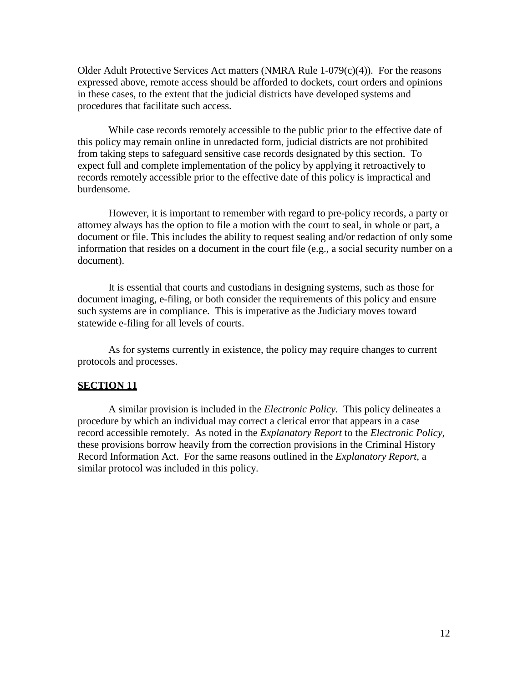Older Adult Protective Services Act matters (NMRA Rule 1-079(c)(4)). For the reasons expressed above, remote access should be afforded to dockets, court orders and opinions in these cases, to the extent that the judicial districts have developed systems and procedures that facilitate such access.

While case records remotely accessible to the public prior to the effective date of this policy may remain online in unredacted form, judicial districts are not prohibited from taking steps to safeguard sensitive case records designated by this section. To expect full and complete implementation of the policy by applying it retroactively to records remotely accessible prior to the effective date of this policy is impractical and burdensome.

However, it is important to remember with regard to pre-policy records, a party or attorney always has the option to file a motion with the court to seal, in whole or part, a document or file. This includes the ability to request sealing and/or redaction of only some information that resides on a document in the court file (e.g., a social security number on a document).

It is essential that courts and custodians in designing systems, such as those for document imaging, e-filing, or both consider the requirements of this policy and ensure such systems are in compliance. This is imperative as the Judiciary moves toward statewide e-filing for all levels of courts.

As for systems currently in existence, the policy may require changes to current protocols and processes.

## **SECTION 11**

A similar provision is included in the *Electronic Policy.* This policy delineates a procedure by which an individual may correct a clerical error that appears in a case record accessible remotely. As noted in the *Explanatory Report* to the *Electronic Policy*, these provisions borrow heavily from the correction provisions in the Criminal History Record Information Act. For the same reasons outlined in the *Explanatory Report*, a similar protocol was included in this policy.